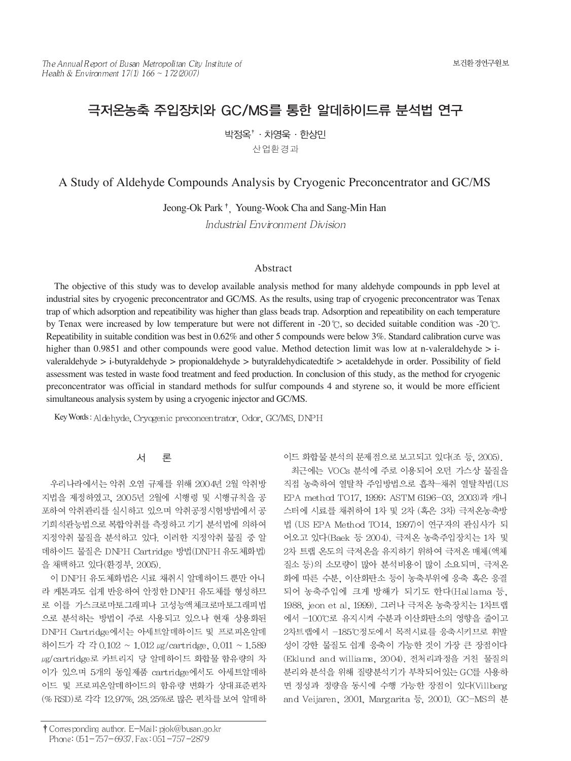# 극저온농축 주입장치와 GC/MS를 통한 알데하이드류 분석법 연구

박정옥<sup>†</sup> · 차영욱 · 한상민 산업환경과

A Study of Aldehyde Compounds Analysis by Cryogenic Preconcentrator and GC/MS

Jeong-Ok Park<sup>†</sup>, Young-Wook Cha and Sang-Min Han Industrial Environment Division

#### Abstract

The objective of this study was to develop available analysis method for many aldehyde compounds in ppb level at industrial sites by cryogenic preconcentrator and GC/MS. As the results, using trap of cryogenic preconcentrator was Tenax trap of which adsorption and repeatibility was higher than glass beads trap. Adsorption and repeatibility on each temperature by Tenax were increased by low temperature but were not different in -20  $\degree$ , so decided suitable condition was -20  $\degree$ . Repeatibility in suitable condition was best in 0.62% and other 5 compounds were below 3%. Standard calibration curve was higher than 0.9851 and other compounds were good value. Method detection limit was low at n-valeraldehyde > ivaleraldehyde > i-butyraldehyde > propionaldehyde > butyraldehydicatedtife > acetaldehyde in order. Possibility of field assessment was tested in waste food treatment and feed production. In conclusion of this study, as the method for cryogenic preconcentrator was official in standard methods for sulfur compounds 4 and styrene so, it would be more efficient simultaneous analysis system by using a cryogenic injector and GC/MS.

Key Words: Aldehyde, Cryogenic preconcentrator, Odor, GC/MS, DNPH

#### 旱 서

우리나라에서는 악취 오염 규제를 위해 2004년 2월 악취방 지법을 제정하였고, 2005년 2월에 시행령 및 시행규칙을 공 포하여 악취관리를 실시하고 있으며 악취공정시험방법에서 공 기희석관능법으로 복합악취를 측정하고 기기 분석법에 의하여 지정악취 물질을 분석하고 있다. 이러한 지정악취 물질 중 알 데하이드 물질은 DNPH Cartridge 방법(DNPH 유도체화법) 을 채택하고 있다(환경부, 2005).

이 DNPH 유도체화법은 시료 채취시 알데하이드 뿐만 아니 라 케톤과도 쉽게 반응하여 안정한 DNPH 유도체를 형성하므 로 이를 가스크로마토그래피나 고성능액체크로마토그래피법 으로 분석하는 방법이 주로 사용되고 있으나 현재 상용화된 DNPH Cartridge에서는 아세트알데하이드 및 프로피온알데 하이드가 각 각 0.102 ~ 1.012 ug/cartridge, 0.011 ~ 1.589 μg/cartridge로 카트리지 당 알데하이드 화합물 함유량의 차 이가 있으며 5개의 동일제품 cartridge에서도 아세트알데하 이드 및 프로피온알데하이드의 함유량 변화가 상대표준편차 (% RSD)로 각각 12.97%, 28.25%로 많은 편차를 보여 알데하

최근에는 VOCs 분석에 주로 이용되어 오던 가스상 물질을 직접 농축하여 열탈착 주입방법으로 흡착-채취 열탈착법(US EPA method TO17, 1999; ASTM 6196-03, 2003)과 캐니 스터에 시료를 채취하여 1차 및 2차 (혹은 3차) 극저온농축방 법 (US EPA Method TO14, 1997)이 연구자의 관심사가 되 어오고 있다(Baek 등 2004). 극저온 농축주입장치는 1차 및 2차 트랩 온도의 극저온을 유지하기 위하여 극저온 매체(액체 질소 등)의 소모량이 많아 분석비용이 많이 소요되며, 극저온 화에 따른 수분, 이산화탄소 등이 농축부위에 응축 혹은 응결 되어 농축주입에 크게 방해가 되기도 한다(Hallama 등, 1988, jeon et al, 1999). 그러나 극저온 농축장치는 1차트랩 에서 -100℃로 유지시켜 수분과 이산화탄소의 영향을 줄이고 2차트랩에서 -185℃정도에서 목적시료를 응축시키므로 휘발 성이 강한 물질도 쉽게 응축이 가능한 것이 가장 큰 장점이다 (Eklund and williams, 2004). 전처리과정을 거친 물질의 분리와 분석을 위해 질량분석기가 부착되어있는 GC를 사용하 면 정성과 정량을 동시에 수행 가능한 장점이 있다(Villberg and Veijaren, 2001, Margarita 등, 2001). GC-MS의 분

이드 화합물 분석의 문제점으로 보고되고 있다(조 등, 2005).

<sup>†</sup> Corresponding author. E-Mail: pjok@busan.go.kr Phone: 051-757-6937, Fax: 051-757-2879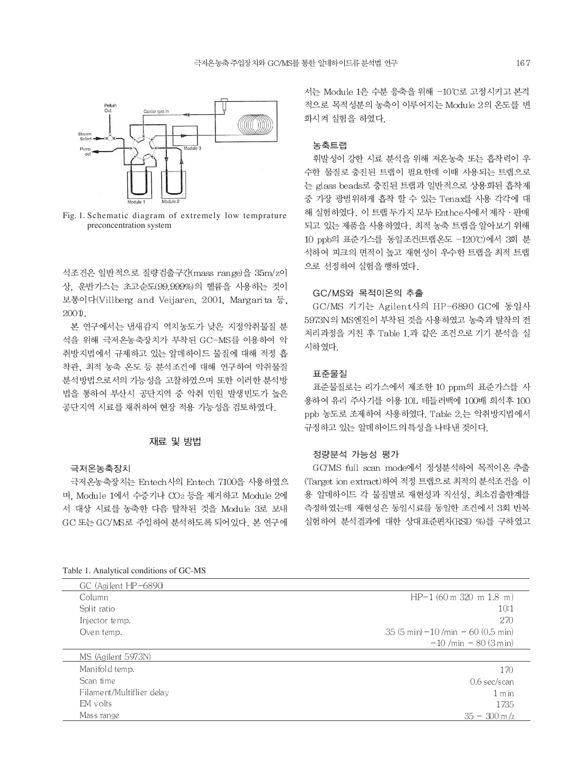

Fig. 1. Schematic diagram of extremely low temprature preconcentration system

석조건은 일반적으로 질량검출구간(mass range)을 35m/z이 상. 운반가스는 초고순도(99.999%)의 헬륨을 사용하는 것이 보통이다(Villberg and Veijaren, 2001, Margarita 등,  $2001$ 

본 연구에서는 냄새감지 역치농도가 낮은 지정악취물질 분 석을 위해 극저온농축장치가 부착된 GC-MS를 이용하여 악 취방지법에서 규제하고 있는 알데하이드 물질에 대해 적정 흡 착관, 최적 농축 온도 등 분석조건에 대해 연구하여 악취물질 분석방법으로서의 가능성을 고찰하였으며 또한 이러한 분석방 법을 통하여 부산시 공단지역 중 악취 민원 발생빈도가 높은 공단지역 시료를 채취하여 현장 적용 가능성을 검토하였다.

#### 재료 및 방법

#### 극저온농축장치

극저온농축장치는 Entech사의 Entech 7100을 사용하였으 며, Module 1에서 수증기나 CO2 등을 제거하고 Module 2에 서 대상 시료를 농축한 다음 탈착된 것을 Module 3로 보내 GC 또는 GC/MS로 주입하여 분석하도록 되어있다. 본 연구에

서는 Module 1은 수분 응축을 위해 -10℃로 고정시키고 본격 적으로 목적성분의 농축이 이루어지는 Module 2의 온도를 변 화시켜 실험을 하였다.

### 농축트랩

휘발성이 강한 시료 분석을 위해 저온농축 또는 흡착력이 우 수한 물질로 충진된 트랩이 필요한데 이때 사용되는 트랩으로 는 glass beads로 충진된 트랩과 일반적으로 상용화된 흡착제 중 가장 광범위하게 흡착 할 수 있는 Tenax를 사용 각각에 대 해 실험하였다. 이 트랩 두가지 모두 Enthce사에서 제작 · 판매 되고 있는 제품을 사용하였다. 최적 농축 트랩을 알아보기 위해 10 ppb의 표준가스를 동일조건(트랩온도 -120℃)에서 3회 분 석하여 피크의 면적이 높고 재현성이 우수한 트랩을 최적 트랩 으로 선정하여 실험을 행하였다.

# GC/MS와 목적이온의 추출

GC/MS 기기는 Agilent사의 HP-6890 GC에 동일사 5973N의 MS엔진이 부착된 것을 사용하였고 농축과 탈착의 전 처리과정을 거친 후 Table 1.과 같은 조건으로 기기 분석을 실 시하였다.

#### 표준물질

표준물질로는 리가스에서 제조한 10 ppm의 표준가스를 사 용하여 유리 주사기를 이용 10L 테들러백에 100배 희석후 100 ppb 농도로 조제하여 사용하였다. Table 2.는 악취방지법에서 규정하고 있는 알데하이드의 특성을 나타낸 것이다.

### 정량분석 가능성 평가

GC/MS full scan mode에서 정성분석하여 목적이온 추출 (Target ion extract)하여 적정 트랩으로 최적의 분석조건을 이 용 알데하이드 각 물질별로 재현성과 직선성, 최소검출한계를 측정하였는데 재현성은 동일시료를 동일한 조건에서 3회 반복 실험하여 분석결과에 대한 상대표준편차(RSD %)를 구하였고

GC (Agilent HP-6890) Column  $HP-1(60m 320 m 1.8 m)$ Split ratio  $10:1$ Injector temp. 270 35  $(5 \text{ min}) - 10 \text{/min} - 60 \text{ (0.5 min)}$ Oven temp.  $-10$  /min  $-80$  (3 min) MS (Agilent 5973N) Manifold temp. 170 Scan time 0.6 sec/scan Filament/Multiflier delay  $1 min$ EM volts 1735 Mass range  $35 - 300$  m/z

Table 1. Analytical conditions of GC-MS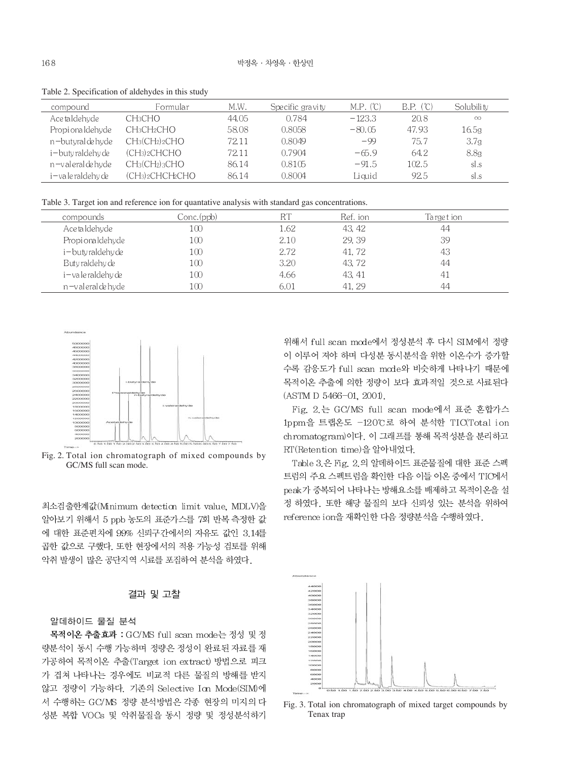| compound          | Formular                                            | M.W.  | Specific gravity | M.P. (°C) | B.P. (C) | Solubili ty      |  |
|-------------------|-----------------------------------------------------|-------|------------------|-----------|----------|------------------|--|
| Ace ta Idehyde    | CH <sub>3</sub> CHO                                 | 44.05 | 0.784            | $-123.3$  | 20.8     | $\infty$         |  |
| Propionaldehyde   | CH3CH2CHO                                           | 58.08 | 0.8058           | $-80.05$  | 47.93    | 16.5g            |  |
| n-butyral de hyde | $CH_3(CH_2)_2CHO$                                   | 72.11 | 0.8049           | $-99$     | 75.7     | 3.7g             |  |
| i-buty raldehy de | (CH <sub>3</sub> ) <sub>2</sub> CHCHO               | 72.11 | 0.7904           | $-65.9$   | 64.2     | 8.8 <sub>g</sub> |  |
| n-valeral de hyde | CH <sub>3</sub> (CH <sub>2</sub> ) <sub>3</sub> CHO | 86.14 | 0.8105           | $-91.5$   | 102.5    | sl.s             |  |
| i-valeraldehy de  | (CH3)2CHCH2CHO                                      | 86.14 | 0.8004           | Liauid    | 92.5     | sl.s             |  |
|                   |                                                     |       |                  |           |          |                  |  |

Table 2. Specification of aldehydes in this study

Table 3. Target ion and reference ion for quantative analysis with standard gas concentrations.

| compounds            | Conc.(ppb) |      | Ref. ion | Target ion     |
|----------------------|------------|------|----------|----------------|
| Ace taldehyde        | 100        | l.62 | 43.42    | 44             |
| Propi ona Idehyde    | 100        | 2.10 | 29.39    | 39             |
| i – buty raldehy de  | 100        | 2.72 | 41.72    | 43             |
| Buty raldehy de      | 100        | 3.20 | 43.72    | 44             |
| i – va le raldehy de | 100        | 4.66 | 43.41    | 4 <sub>1</sub> |
| n-valeral de hyde    | 100        |      | 41.29    | 44             |



Fig. 2. Total ion chromatograph of mixed compounds by GC/MS full scan mode.

최소검출한계값(Minimum detection limit value, MDLV)을 알아보기 위해서 5 ppb 농도의 표준가스를 7회 반복 측정한 값 에 대한 표준편차에 99% 신뢰구간에서의 자유도 값인 3.14를 곱한 값으로 구했다. 또한 현장에서의 적용 가능성 검토를 위해 악취 발생이 많은 공단지역 시료를 포집하여 분석을 하였다.

# 결과 및 고찰

# 알데하이드 물질 분석

목적이온 추출효과 : GC/MS full scan mode는 정성 및 정 량분석이 동시 수행 가능하며 정량은 정성이 완료된 자료를 재 가공하여 목적이온 추출(Target ion extract) 방법으로 피크 가 겹쳐 나타나는 경우에도 비교적 다른 물질의 방해를 받지 않고 정량이 가능하다. 기존의 Selective Icn Mode(SIM)에 서 수행하는 GC/MS 정량 분석방법은 각종 현장의 미지의 다 성분 복합 VOCs 및 악취물질을 동시 정량 및 정성분석하기

위해서 full scan mode에서 정성분석 후 다시 SIM에서 정량 이 이루어 져야 하며 다성분 동시분석을 위한 이온수가 증가할 수록 감응도가 full scan mode와 비슷하게 나타나기 때문에 목적이온 추출에 의한 정량이 보다 효과적일 것으로 사료된다 (ASTM D 5466-01, 2001).

Fig. 2. 는 GC/MS full scan mode에서 표준 혼합가스 1ppm을 트랩온도 -120℃로 하여 분석한 TIC(Total ion chromatogram)이다. 이 그래프를 통해 목적성분을 분리하고 RT(Retention time)을 알아내었다.

Table 3.은 Fig. 2.의 알데하이드 표준물질에 대한 표준 스펙 트럼의 주요 스펙트럼을 확인한 다음 이들 이온 중에서 TIC에서 peak가 중복되어 나타나는 방해요소를 배제하고 목적이온을 설 정 하였다. 또한 해당 물질의 보다 신뢰성 있는 분석을 위하여 reference ion을 재확인한 다음 정량분석을 수행하였다.



Fig. 3. Total ion chromatograph of mixed target compounds by Tenax trap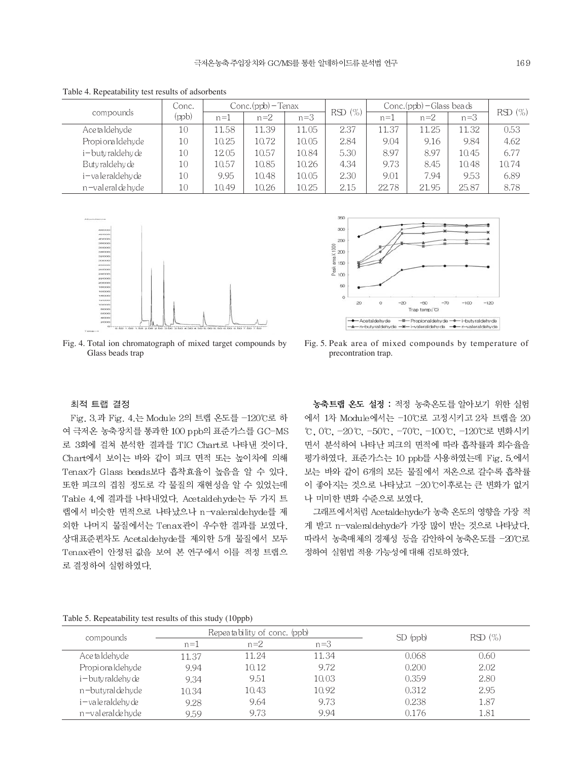|                      | Conc. | $Conc.(ppb)$ – Tenax |       |       | $Conc.(ppb) - Glass beads$ |       |       |       |           |  |
|----------------------|-------|----------------------|-------|-------|----------------------------|-------|-------|-------|-----------|--|
| compounds            | (ppb) | $n=1$                | $n=2$ | $n=3$ | RSD(%)                     | $n=1$ | $n=2$ | $n=3$ | $RSD(\%)$ |  |
| Ace taldehyde        | 10    | 11.58                | 11.39 | 11.05 | 2.37                       | 11.37 | 11.25 | 11.32 | 0.53      |  |
| Propionaldehyde      | 10    | 10.25                | 10.72 | 10.05 | 2.84                       | 9.04  | 9.16  | 9.84  | 4.62      |  |
| i-butyraldehy de     | 10    | 12.05                | 10.57 | 10.84 | 5.30                       | 8.97  | 8.97  | 10.45 | 6.77      |  |
| Buty raldehy de      | 10    | 10.57                | 10.85 | 10.26 | 4.34                       | 9.73  | 8.45  | 10.48 | 10.74     |  |
| i – va le raldehy de | 10    | 9.95                 | 10.48 | 10.05 | 2.30                       | 9.01  | 7.94  | 9.53  | 6.89      |  |
| n-valeral de hyde    | 10    | 10.49                | 10.26 | 10.25 | 2.15                       | 22.78 | 21.95 | 25.87 | 8.78      |  |

Table 4. Repeatability test results of adsorbents





Fig. 4. Total ion chromatograph of mixed target compounds by Glass beads trap

Fig. 5. Peak area of mixed compounds by temperature of precontration trap.

# 최적 트랩 결정

Fig. 3.과 Fig. 4.는 Module 2의 트랩 온도를 -120℃로 하 여 극저온 농축장치를 통과한 100 ppb의 표준가스를 GC-MS 로 3회에 걸쳐 분석한 결과를 TIC Chart로 나타낸 것이다. Chart에서 보이는 바와 같이 피크 면적 또는 높이차에 의해 Tenax가 Glass beads보다 흡착효율이 높음을 알 수 있다. 또한 피크의 겹침 정도로 각 물질의 재현성을 알 수 있었는데 Table 4.에 결과를 나타내었다. Acetaldehyde는 두 가지 트 랩에서 비슷한 면적으로 나타났으나 n-valeraldehyde를 제 외한 나머지 물질에서는 Tenax관이 우수한 결과를 보였다. 상대표준편차도 Acetaldehyde를 제외한 5개 물질에서 모두 Tenax관이 안정된 값을 보여 본 연구에서 이를 적정 트랩으 로 결정하여 실험하였다.

농축트랩 온도 설정 : 적정 농축온도를 알아보기 위한 실험 에서 1차 Module에서는 -10℃로 고정시키고 2차 트랩을 20 ℃, 0℃, -20℃, -50℃, -70℃, -100℃, -120℃로 변화시키 면서 분석하여 나타난 피크의 면적에 따라 흡착률과 회수율을 평가하였다. 표준가스는 10 ppb를 사용하였는데 Fig. 5.에서 보는 바와 같이 6개의 모든 물질에서 저온으로 갈수록 흡착률 이 좋아지는 것으로 나타났고 -20℃이후로는 큰 변화가 없거 나 미미한 변화 수준으로 보였다.

그래프에서처럼 Acetaldehyde가 농축 온도의 영향을 가장 적 게 받고 n-valeraldehyde가 가장 많이 받는 것으로 나타났다. 따라서 농축매체의 경제성 등을 감안하여 농축온도를 -20℃로 정하여 실험법 적용 가능성에 대해 검토하였다.

|  | Table 5. Repeatability test results of this study (10ppb) |  |
|--|-----------------------------------------------------------|--|
|  |                                                           |  |

|                     |                         | Repeatability of conc. (ppb) | SD (ppb) | RSD(%) |      |  |
|---------------------|-------------------------|------------------------------|----------|--------|------|--|
| compounds           | $n=3$<br>$n=2$<br>$n=1$ |                              |          |        |      |  |
| Ace ta Idehyde      | 11.37                   | 11.24                        | 11.34    | 0.068  | 0.60 |  |
| Propionaldehyde     | 9.94                    | 10.12                        | 9.72     | 0.200  | 2.02 |  |
| i – butyraldehy de  | 9.34                    | 9.51                         | 10.03    | 0.359  | 2.80 |  |
| n-butyral de hyde   | 10.34                   | 10.43                        | 10.92    | 0.312  | 2.95 |  |
| i – vale raldehy de | 9.28                    | 9.64                         | 9.73     | 0.238  | 1.87 |  |
| n-valeral de hyde   | 9.59                    | 9.73                         | 9.94     | 0.176  | 1.81 |  |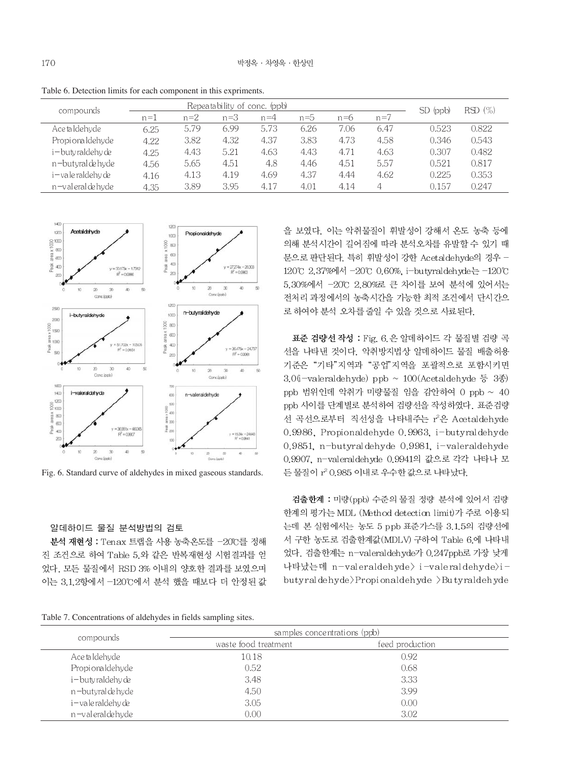Table 6. Detection limits for each component in this expriments.

|                      |       |       |       | Repeatability of conc. (ppb) |       |       |       | $SD$ (ppb) | RSD(%) |
|----------------------|-------|-------|-------|------------------------------|-------|-------|-------|------------|--------|
| compounds            | $n=1$ | $n=2$ | $n=3$ | $n=4$                        | $n=5$ | $n=6$ | $n=7$ |            |        |
| Ace taldehyde        | 6.25  | 5.79  | 6.99  | 5.73                         | 6.26  | 7.06  | 6.47  | 0.523      | 0.822  |
| Propionaldehyde      | 4.22  | 3.82  | 4.32  | 4.37                         | 3.83  | 4.73  | 4.58  | 0.346      | 0.543  |
| i – buty raldehy de  | 4.25  | 4.43  | 5.21  | 4.63                         | 4.43  | 4.71  | 4.63  | 0.307      | 0.482  |
| n-butyral de hyde    | 4.56  | 5.65  | 4.51  | 4.8                          | 4.46  | 4.51  | 5.57  | 0.521      | 0.817  |
| i – va le raldehy de | 4.16  | 4.13  | 4.19  | 4.69                         | 4.37  | 4.44  | 4.62  | 0.225      | 0.353  |
| n-valeralde hyde     | 4.35  | 3.89  | 3.95  | 4.17                         | 4.01  | 4.14  | 4     | 0.157      | 0.247  |



Fig. 6. Standard curve of aldehydes in mixed gaseous standards.

#### 알데하이드 물질 분석방법의 검토

분석 재현성 : Tenax 트랩을 사용 농축온도를 -20℃를 정해 진 조건으로 하여 Table 5.와 같은 반복재현성 시험결과를 얻 었다. 모든 물질에서 RSD 3% 이내의 양호한 결과를 보였으며 이는 3.1.2항에서 -120℃에서 분석 했을 때보다 더 안정된 값

Table 7. Concentrations of aldehydes in fields sampling sites.

을 보였다. 이는 악취물질이 휘발성이 강해서 온도 농축 등에 의해 분석시간이 길어짐에 따라 분석오차를 유발할 수 있기 때 문으로 판단된다. 특히 휘발성이 강한 Acetaldehyde의 경우 -120°C 2.37%에서 -20°C 0.60%, i-butyraldehyde는 -120°C 5.30%에서 -20℃ 2.80%로 큰 차이를 보여 분석에 있어서는 전처리 과정에서의 농축시간을 가능한 최적 조건에서 단시간으

로 하여야 분석 오차를 줄일 수 있을 것으로 사료된다.

표준 검량선 작성 : Fig. 6. 은 알데하이드 각 물질별 검량 곡 선을 나타낸 것이다. 악취방지법상 알데하이드 물질 배출허용 기준은 "기타"지역과 "공업"지역을 포괄적으로 포함시키면 3.0(i-valeraldehyde) ppb ~ 100(Acetaldehyde 등 3종) ppb 범위인데 악취가 미량물질 임을 감안하여 0 ppb ~ 40 ppb 사이를 단계별로 분석하여 검량선을 작성하였다. 표준검량 선 곡선으로부터 직선성을 나타내주는 r2은 Acetaldehyde 0.9986, Propionaldehyde 0.9963, i-butyraldehyde 0.9851, n-butyraldehyde 0.9981, i-valeraldehyde 0.9907, n-valeraldehyde 0.9941의 값으로 각각 나타나 모 든 물질이 r<sup>2</sup> 0.985 이내로 우수한 값으로 나타났다.

검출한계 : 미량(ppb) 수준의 물질 정량 분석에 있어서 검량 한계의 평가는 MDL (Method detection limit)가 주로 이용되 는데 본 실험에서는 농도 5 ppb 표준가스를 3.1.5의 검량선에 서 구한 농도로 검출한계값(MDLV) 구하여 Table 6.에 나타내 었다. 검출한계는 n-valeraldehyde가 0.247ppb로 가장 낮게 나타났는데 n-valeraldehyde> i-valeraldehyde>ibutyralde hyde > Propionalde hyde > Butyralde hyde

|                   | samples concentrations (ppb) |                 |  |
|-------------------|------------------------------|-----------------|--|
| compounds         | was te food treatment        | feed production |  |
| Ace ta Idehyde    | 10.18                        | 0.92            |  |
| Propionaldehyde   | 0.52                         | 0.68            |  |
| i-butyraldehy de  | 3.48                         | 3.33            |  |
| n-butyral de hyde | 4.50                         | 3.99            |  |
| i-vale raldehy de | 3.05                         | 0.00            |  |
| n-valeral de hyde | 0.00                         | 3.02            |  |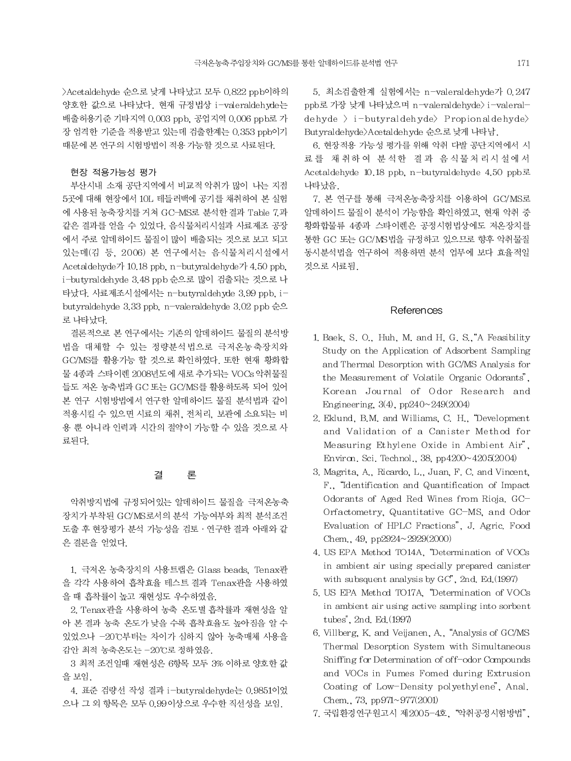>Acetaldehyde 순으로 낮게 나타났고 모두 0.822 ppb이하의 양호한 값으로 나타났다. 현재 규정법상 i-valeraldehyde는 배출허용기준 기타지역 0.003 ppb, 공업지역 0.006 ppb로 가 장 엄격한 기준을 적용받고 있는데 검출한계는 0.353 ppb이기 때문에 본 연구의 시험방법이 적용 가능할 것으로 사료된다.

# 현장 적용가능성 평가

부산시내 소재 공단지역에서 비교적 악취가 많이 나는 지점 5곳에 대해 현장에서 10L 테들러백에 공기를 채취하여 본 실험 에 사용된 농축장치를 거쳐 GC-MS로 분석한결과 Table 7.과 같은 결과를 얻을 수 있었다. 음식물처리시설과 사료제조 공장 에서 주로 알데하이드 물질이 많이 배출되는 것으로 보고 되고 있는데(김 등, 2006) 본 연구에서는 음식물처리시설에서 Acetaldehyde7 10.18 ppb, n-but yraldehyde7 4.50 ppb, i-butyraldehyde 3.48 ppb 순으로 많이 검출되는 것으로 나 타났다. 사료제조시설에서는 n-butyraldehyde 3.99 ppb. ibutyraldehyde 3.33 ppb. n-valeraldehyde 3.02 ppb 순으 로 나타났다.

결론적으로 본 연구에서는 기존의 알데하이드 물질의 분석방 법을 대체할 수 있는 정량분석법으로 극저온농축장치와 GC/MS를 활용가능 할 것으로 확인하였다. 또한 현재 황화합 물 4종과 스타이렌 2008년도에 새로 추가되는 VOCs 악취물질 들도 저온 농축법과 GC 또는 GC/MS를 활용하도록 되어 있어 본 연구 시험방법에서 연구한 알데하이드 물질 분석법과 같이 적용시킬 수 있으면 시료의 채취, 전처리, 보관에 소요되는 비 용 뿐 아니라 인력과 시간의 절약이 가능할 수 있을 것으로 사 료된다.

#### 결 론

악취방지법에 규정되어있는 알데하이드 물질을 극저온농축 장치가 부착된 GC/MS로서의 분석 가능여부와 최적 분석조건 도출 후 현장평가 분석 가능성을 검토 · 연구한 결과 아래와 같 은 결론을 얻었다.

1. 극저온 농축장치의 사용트랩은 Glass beads, Tenax관 을 각각 사용하여 흡착효율 테스트 결과 Tenax관을 사용하였 을 때 흡착률이 높고 재현성도 우수하였음.

2. Tenax관을 사용하여 농축 온도별 흡착률과 재현성을 알 아 본 결과 농축 온도가 낮을 수록 흡착효율도 높아짐을 알 수 있었으나 -20℃부터는 차이가 심하지 않아 농축매체 사용을 감안 최적 농축온도는 -20℃로 정하였음.

3 최적 조건일때 재현성은 6항목 모두 3% 이하로 양호한 값 을 보임.

4. 표준 검량선 작성 결과 i-butyraldehyde는 0.9851이었 으나 그 외 항목은 모두 0.99이상으로 우수한 직선성을 보임.

5. 최소검출한계 실험에서는 n-valeraldehyde가 0.247 ppb로 가장 낮게 나타났으며 n-valeraldehyde> i-valeral $de$ hyde > i-butyraldehyde > Propionaldehyde But yraldehyde>Acetaldehyde 순으로 낮게 나타남.

6. 현장적용 가능성 평가를 위해 악취 다발 공단지역에서 시 료를 채취하여 분석한 결과 음식물처리시설에서 Acetaldehyde 10.18 ppb. n-butyraldehyde 4.50 ppb로 나타났음

7. 본 연구를 통해 극저온농축장치를 이용하여 GC/MS로 알데하이드 물질이 분석이 가능함을 확인하였고, 현재 악취 중 황화합물류 4종과 스타이렌은 공정시험법상에도 저온장치를 통한 GC 또는 GC/MS법을 규정하고 있으므로 향후 악취물질 동시분석법을 연구하여 적용하면 분석 업무에 보다 효율적일 것으로 사료됨.

# References

- 1. Baek, S. O., Huh, M. and H. G. S., A Feasibility Study on the Application of Adsorbent Sampling and Thermal Desorption with GC/MS Analysis for the Measurement of Volatile Organic Odorants". Korean Journal of Odor Research and Engineering,  $3(4)$ , pp $240 \sim 249(2004)$
- 2. Eklund, B.M. and Williams, C. H., "Development and Validation of a Canister Method for Measuring Ethylene Oxide in Ambient Air", Environ, Sci. Technol., 38, pp4200~4205(2004)
- 3. Magrita, A., Ricardo, L., Juan, F. C. and Vincent, F., "Identification and Quantification of Impact Odorants of Aged Red Wines from Rioja. GC-Orfactometry, Quantitative GC-MS, and Odor Evaluation of HPLC Fractions", J. Agric. Food Chem., 49, pp2924~2929(2000)
- 4. US EPA Method TO14A, "Determination of VOCs in ambient air using specially prepared canister with subsquent analysis by GC', 2nd. Ed.(1997)
- 5. US EPA Method TO17A, "Determination of VOCs in ambient air using active sampling into sorbent tubes", 2nd. Ed. (1997)
- 6. Villberg, K. and Veijanen, A., "Analysis of GC/MS Thermal Desorption System with Simultaneous Sniffing for Determination of off-odor Compounds and VOCs in Fumes Fomed during Extrusion Coating of Low-Density polyethylene", Anal. Chem., 73, pp $971 \sim 977(2001)$
- 7. 국립환경연구원고시 제2005-4호, "악취공정시험방법",